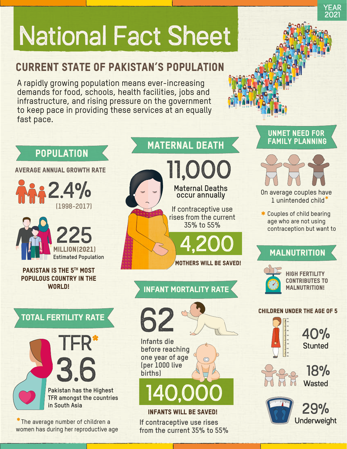# National Fact Sheet

## Current State of Pakistan's Population

A rapidly growing population means ever-increasing demands for food, schools, health facilities, jobs and infrastructure, and rising pressure on the government to keep pace in providing these services at an equally fast pace.

# 3.6 TFR\* Total Fertility Rate 2.4% 225 **(1998-2017) Estimated Population** Million (2021) PAKISTAN IS THE 5<sup>TH</sup> MOST populous country in the WORLD!

**POPULATION** 

Average Annual Growth Rate

**Pakistan has the Highest TFR amongst the countries in South Asia**

\*The average number of children a women has during her reproductive age

## **MATERNAL DEATH**

**Maternal Deaths occur annually** 11,000

> If contraceptive use rises from the current 35% to 55%

MOTHERS WILL BE SAVED!

4,200

# Unmet Need for

YEAR 2021



**\*** 1 unintended child On average couples have

Couples of child bearing **\*** age who are not using contraception but want to

#### **MALNUTRITION**



High fertility contributes to MALNUTRITION!

#### Children under the age of 5



40% **Stunted** 



18% Wasted



29% Underweight



Infant Mortality Rate

**If contraceptive use rises from the current 35% to 55%**